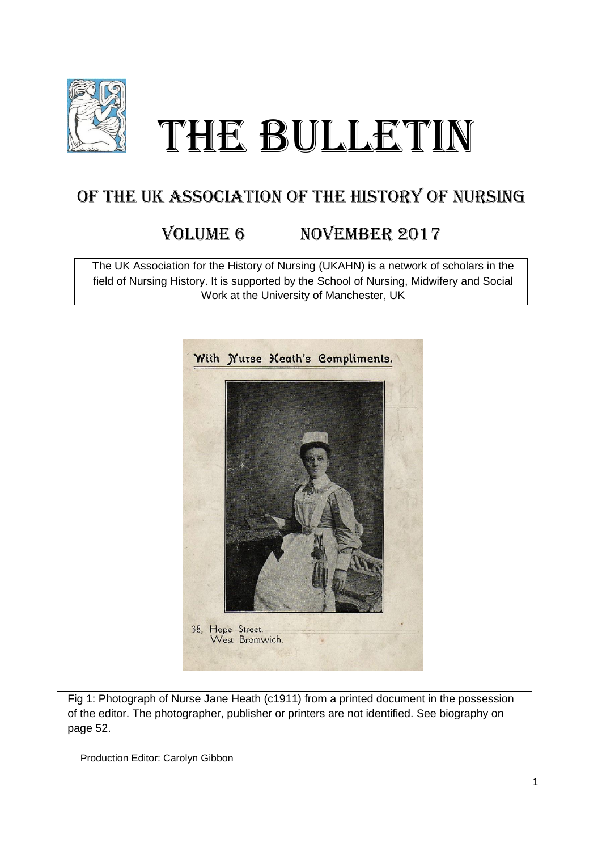

# THE BULLETIN

# OF THE UK ASSOCIATION OF THE HISTORY OF NURSING

# VOLUME 6 NOVEMBER 2017

The UK Association for the History of Nursing (UKAHN) is a network of scholars in the field of Nursing History. It is supported by the School of Nursing, Midwifery and Social Work at the University of Manchester, UK



Fig 1: Photograph of Nurse Jane Heath (c1911) from a printed document in the possession of the editor. The photographer, publisher or printers are not identified. See biography on page 52.

Production Editor: Carolyn Gibbon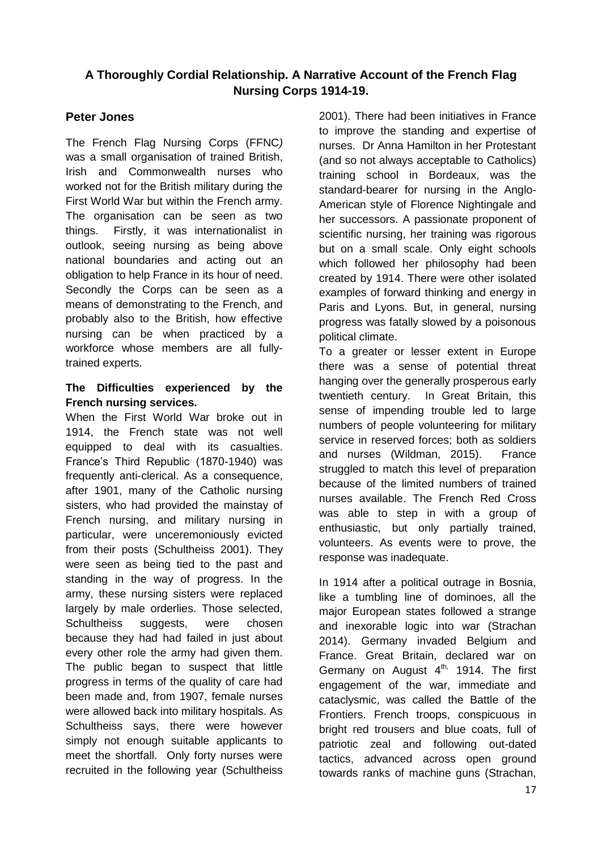## **A Thoroughly Cordial Relationship. A Narrative Account of the French Flag Nursing Corps 1914-19.**

### **Peter Jones**

The French Flag Nursing Corps (FFNC*)* was a small organisation of trained British, Irish and Commonwealth nurses who worked not for the British military during the First World War but within the French army. The organisation can be seen as two things. Firstly, it was internationalist in outlook, seeing nursing as being above national boundaries and acting out an obligation to help France in its hour of need. Secondly the Corps can be seen as a means of demonstrating to the French, and probably also to the British, how effective nursing can be when practiced by a workforce whose members are all fullytrained experts.

#### **The Difficulties experienced by the French nursing services.**

When the First World War broke out in 1914, the French state was not well equipped to deal with its casualties. France's Third Republic (1870-1940) was frequently anti-clerical. As a consequence, after 1901, many of the Catholic nursing sisters, who had provided the mainstay of French nursing, and military nursing in particular, were unceremoniously evicted from their posts (Schultheiss 2001). They were seen as being tied to the past and standing in the way of progress. In the army, these nursing sisters were replaced largely by male orderlies. Those selected, Schultheiss suggests, were chosen because they had had failed in just about every other role the army had given them. The public began to suspect that little progress in terms of the quality of care had been made and, from 1907, female nurses were allowed back into military hospitals. As Schultheiss says, there were however simply not enough suitable applicants to meet the shortfall. Only forty nurses were recruited in the following year (Schultheiss

2001). There had been initiatives in France to improve the standing and expertise of nurses. Dr Anna Hamilton in her Protestant (and so not always acceptable to Catholics) training school in Bordeaux, was the standard-bearer for nursing in the Anglo-American style of Florence Nightingale and her successors. A passionate proponent of scientific nursing, her training was rigorous but on a small scale. Only eight schools which followed her philosophy had been created by 1914. There were other isolated examples of forward thinking and energy in Paris and Lyons. But, in general, nursing progress was fatally slowed by a poisonous political climate.

To a greater or lesser extent in Europe there was a sense of potential threat hanging over the generally prosperous early twentieth century. In Great Britain, this sense of impending trouble led to large numbers of people volunteering for military service in reserved forces; both as soldiers and nurses (Wildman, 2015). France struggled to match this level of preparation because of the limited numbers of trained nurses available. The French Red Cross was able to step in with a group of enthusiastic, but only partially trained, volunteers. As events were to prove, the response was inadequate.

In 1914 after a political outrage in Bosnia, like a tumbling line of dominoes, all the major European states followed a strange and inexorable logic into war (Strachan 2014). Germany invaded Belgium and France. Great Britain, declared war on Germany on August  $4<sup>th</sup>$ , 1914. The first engagement of the war, immediate and cataclysmic, was called the Battle of the Frontiers. French troops, conspicuous in bright red trousers and blue coats, full of patriotic zeal and following out-dated tactics, advanced across open ground towards ranks of machine guns (Strachan,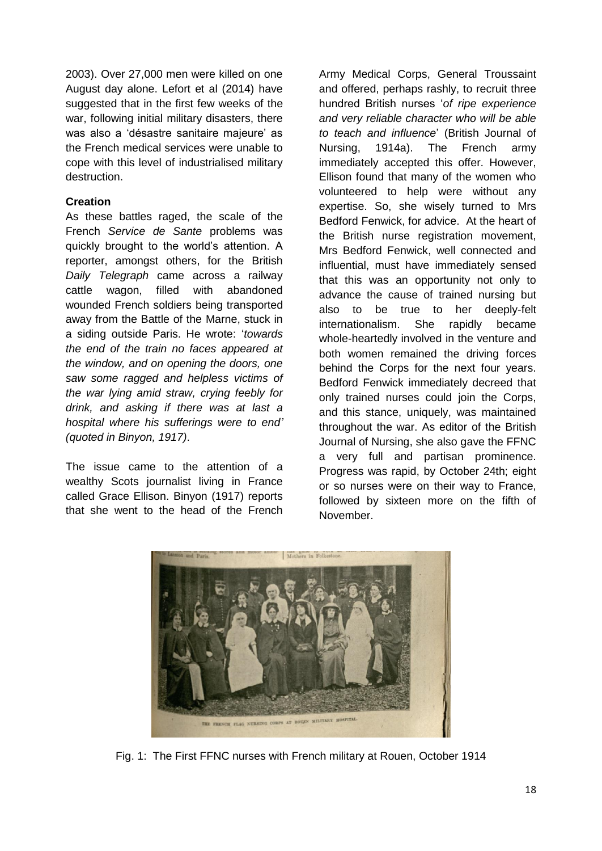2003). Over 27,000 men were killed on one August day alone. Lefort et al (2014) have suggested that in the first few weeks of the war, following initial military disasters, there was also a 'désastre sanitaire majeure' as the French medical services were unable to cope with this level of industrialised military destruction.

#### **Creation**

As these battles raged, the scale of the French *Service de Sante* problems was quickly brought to the world's attention. A reporter, amongst others, for the British *Daily Telegraph* came across a railway cattle wagon, filled with abandoned wounded French soldiers being transported away from the Battle of the Marne, stuck in a siding outside Paris. He wrote: '*towards the end of the train no faces appeared at the window, and on opening the doors, one saw some ragged and helpless victims of the war lying amid straw, crying feebly for drink, and asking if there was at last a hospital where his sufferings were to end' (quoted in Binyon, 1917)*.

The issue came to the attention of a wealthy Scots journalist living in France called Grace Ellison. Binyon (1917) reports that she went to the head of the French

Army Medical Corps, General Troussaint and offered, perhaps rashly, to recruit three hundred British nurses '*of ripe experience and very reliable character who will be able to teach and influence*' (British Journal of Nursing, 1914a). The French army immediately accepted this offer. However, Ellison found that many of the women who volunteered to help were without any expertise. So, she wisely turned to Mrs Bedford Fenwick, for advice. At the heart of the British nurse registration movement, Mrs Bedford Fenwick, well connected and influential, must have immediately sensed that this was an opportunity not only to advance the cause of trained nursing but also to be true to her deeply-felt internationalism. She rapidly became whole-heartedly involved in the venture and both women remained the driving forces behind the Corps for the next four years. Bedford Fenwick immediately decreed that only trained nurses could join the Corps, and this stance, uniquely, was maintained throughout the war. As editor of the British Journal of Nursing, she also gave the FFNC a very full and partisan prominence. Progress was rapid, by October 24th; eight or so nurses were on their way to France, followed by sixteen more on the fifth of November.



Fig. 1: The First FFNC nurses with French military at Rouen, October 1914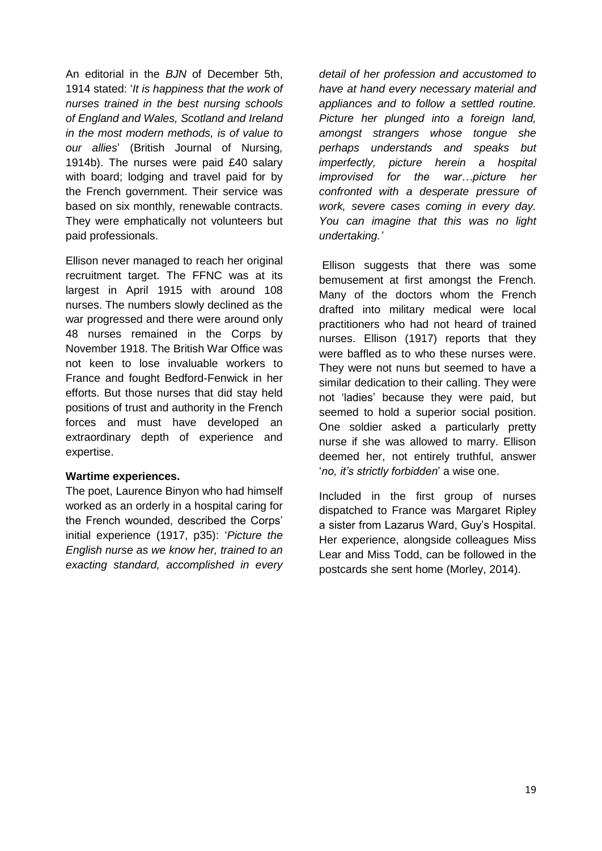An editorial in the *BJN* of December 5th, 1914 stated: '*It is happiness that the work of nurses trained in the best nursing schools of England and Wales, Scotland and Ireland in the most modern methods, is of value to our allies*' (British Journal of Nursing*,* 1914b). The nurses were paid £40 salary with board; lodging and travel paid for by the French government. Their service was based on six monthly, renewable contracts. They were emphatically not volunteers but paid professionals.

Ellison never managed to reach her original recruitment target. The FFNC was at its largest in April 1915 with around 108 nurses. The numbers slowly declined as the war progressed and there were around only 48 nurses remained in the Corps by November 1918. The British War Office was not keen to lose invaluable workers to France and fought Bedford-Fenwick in her efforts. But those nurses that did stay held positions of trust and authority in the French forces and must have developed an extraordinary depth of experience and expertise.

#### **Wartime experiences.**

The poet, Laurence Binyon who had himself worked as an orderly in a hospital caring for the French wounded, described the Corps' initial experience (1917, p35): '*Picture the English nurse as we know her, trained to an exacting standard, accomplished in every*  *detail of her profession and accustomed to have at hand every necessary material and appliances and to follow a settled routine. Picture her plunged into a foreign land, amongst strangers whose tongue she perhaps understands and speaks but imperfectly, picture herein a hospital improvised for the war…picture her confronted with a desperate pressure of work, severe cases coming in every day. You can imagine that this was no light undertaking.'*

Ellison suggests that there was some bemusement at first amongst the French. Many of the doctors whom the French drafted into military medical were local practitioners who had not heard of trained nurses. Ellison (1917) reports that they were baffled as to who these nurses were. They were not nuns but seemed to have a similar dedication to their calling. They were not 'ladies' because they were paid, but seemed to hold a superior social position. One soldier asked a particularly pretty nurse if she was allowed to marry. Ellison deemed her, not entirely truthful, answer '*no, it's strictly forbidden*' a wise one.

Included in the first group of nurses dispatched to France was Margaret Ripley a sister from Lazarus Ward, Guy's Hospital. Her experience, alongside colleagues Miss Lear and Miss Todd, can be followed in the postcards she sent home (Morley, 2014).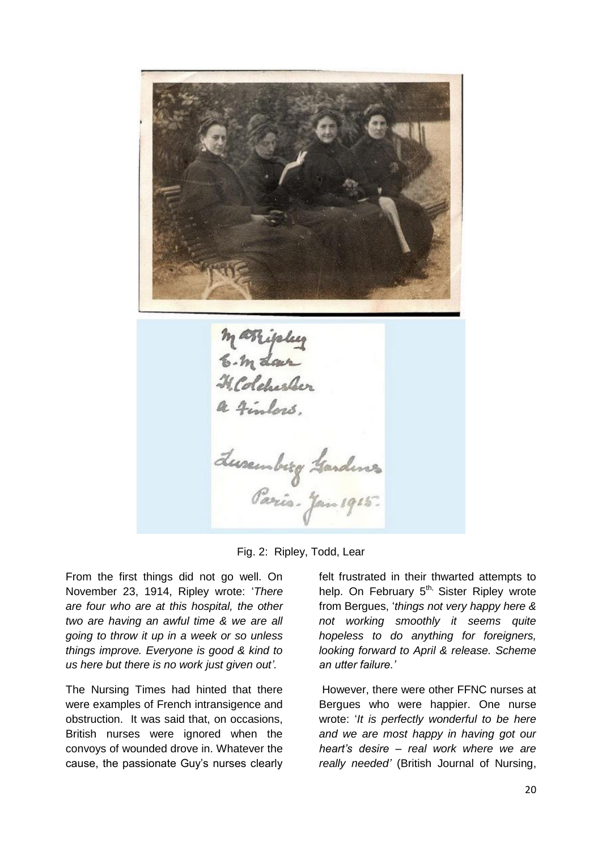mærigsleg<br>E. m dar a finlass. Luxembrog Gardenes

Fig. 2: Ripley, Todd, Lear

From the first things did not go well. On November 23, 1914, Ripley wrote: '*There are four who are at this hospital, the other two are having an awful time & we are all going to throw it up in a week or so unless things improve. Everyone is good & kind to us here but there is no work just given out'.*

The Nursing Times had hinted that there were examples of French intransigence and obstruction. It was said that, on occasions, British nurses were ignored when the convoys of wounded drove in. Whatever the cause, the passionate Guy's nurses clearly felt frustrated in their thwarted attempts to help. On February  $5<sup>th</sup>$ , Sister Ripley wrote from Bergues, '*things not very happy here & not working smoothly it seems quite hopeless to do anything for foreigners, looking forward to April & release. Scheme an utter failure.'*

However, there were other FFNC nurses at Bergues who were happier. One nurse wrote: '*It is perfectly wonderful to be here and we are most happy in having got our heart's desire – real work where we are really needed'* (British Journal of Nursing,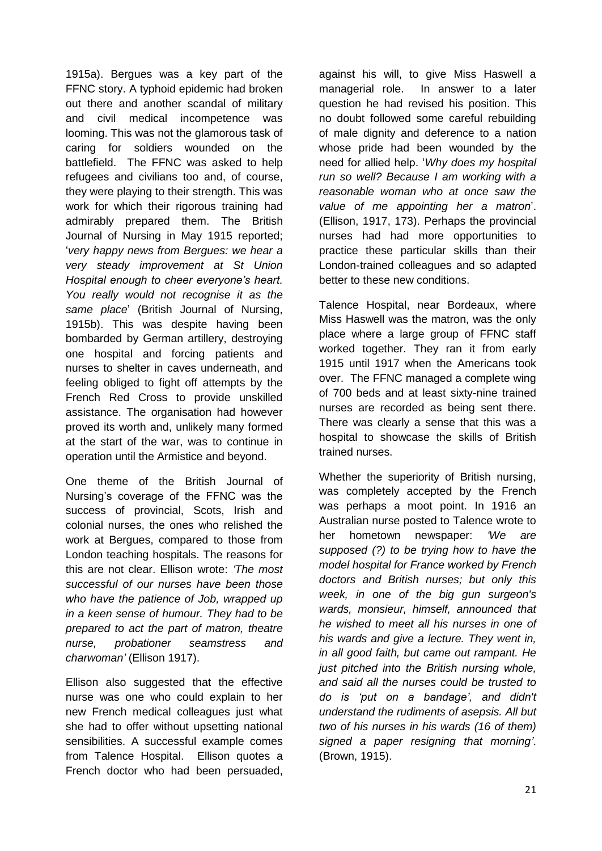1915a). Bergues was a key part of the FFNC story. A typhoid epidemic had broken out there and another scandal of military and civil medical incompetence was looming. This was not the glamorous task of caring for soldiers wounded on the battlefield. The FFNC was asked to help refugees and civilians too and, of course, they were playing to their strength. This was work for which their rigorous training had admirably prepared them. The British Journal of Nursing in May 1915 reported; '*very happy news from Bergues: we hear a very steady improvement at St Union Hospital enough to cheer everyone's heart. You really would not recognise it as the same place*' (British Journal of Nursing, 1915b). This was despite having been bombarded by German artillery, destroying one hospital and forcing patients and nurses to shelter in caves underneath, and feeling obliged to fight off attempts by the French Red Cross to provide unskilled assistance. The organisation had however proved its worth and, unlikely many formed at the start of the war, was to continue in operation until the Armistice and beyond.

One theme of the British Journal of Nursing's coverage of the FFNC was the success of provincial, Scots, Irish and colonial nurses, the ones who relished the work at Bergues, compared to those from London teaching hospitals. The reasons for this are not clear. Ellison wrote: *'The most successful of our nurses have been those who have the patience of Job, wrapped up in a keen sense of humour. They had to be prepared to act the part of matron, theatre nurse, probationer seamstress and charwoman'* (Ellison 1917).

Ellison also suggested that the effective nurse was one who could explain to her new French medical colleagues just what she had to offer without upsetting national sensibilities. A successful example comes from Talence Hospital. Ellison quotes a French doctor who had been persuaded,

against his will, to give Miss Haswell a managerial role. In answer to a later question he had revised his position. This no doubt followed some careful rebuilding of male dignity and deference to a nation whose pride had been wounded by the need for allied help. '*Why does my hospital run so well? Because I am working with a reasonable woman who at once saw the value of me appointing her a matron*'. (Ellison, 1917, 173). Perhaps the provincial nurses had had more opportunities to practice these particular skills than their London-trained colleagues and so adapted better to these new conditions.

Talence Hospital, near Bordeaux, where Miss Haswell was the matron, was the only place where a large group of FFNC staff worked together. They ran it from early 1915 until 1917 when the Americans took over. The FFNC managed a complete wing of 700 beds and at least sixty-nine trained nurses are recorded as being sent there. There was clearly a sense that this was a hospital to showcase the skills of British trained nurses.

Whether the superiority of British nursing, was completely accepted by the French was perhaps a moot point. In 1916 an Australian nurse posted to Talence wrote to her hometown newspaper: *'We are supposed (?) to be trying how to have the model hospital for France worked by French doctors and British nurses; but only this week, in one of the big gun surgeon's wards, monsieur, himself, announced that he wished to meet all his nurses in one of his wards and give a lecture. They went in, in all good faith, but came out rampant. He just pitched into the British nursing whole, and said all the nurses could be trusted to do is 'put on a bandage', and didn't understand the rudiments of asepsis. All but two of his nurses in his wards (16 of them) signed a paper resigning that morning'*. (Brown, 1915).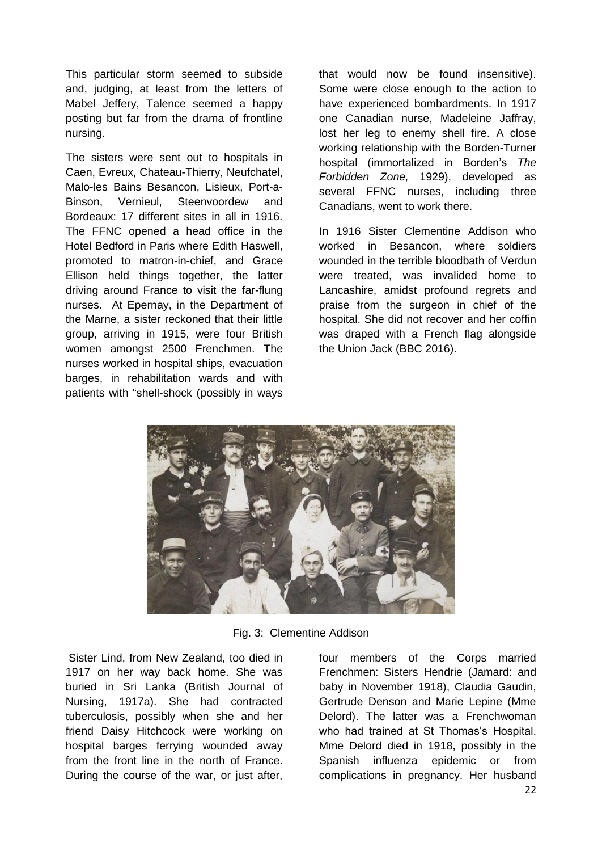This particular storm seemed to subside and, judging, at least from the letters of Mabel Jeffery, Talence seemed a happy posting but far from the drama of frontline nursing.

The sisters were sent out to hospitals in Caen, Evreux, Chateau-Thierry, Neufchatel, Malo-les Bains Besancon, Lisieux, Port-a-Binson, Vernieul, Steenvoordew and Bordeaux: 17 different sites in all in 1916. The FFNC opened a head office in the Hotel Bedford in Paris where Edith Haswell, promoted to matron-in-chief, and Grace Ellison held things together, the latter driving around France to visit the far-flung nurses. At Epernay, in the Department of the Marne, a sister reckoned that their little group, arriving in 1915, were four British women amongst 2500 Frenchmen. The nurses worked in hospital ships, evacuation barges, in rehabilitation wards and with patients with "shell-shock (possibly in ways

that would now be found insensitive). Some were close enough to the action to have experienced bombardments. In 1917 one Canadian nurse, Madeleine Jaffray, lost her leg to enemy shell fire. A close working relationship with the Borden-Turner hospital (immortalized in Borden's *The Forbidden Zone,* 1929), developed as several FFNC nurses, including three Canadians, went to work there.

In 1916 Sister Clementine Addison who worked in Besancon, where soldiers wounded in the terrible bloodbath of Verdun were treated, was invalided home to Lancashire, amidst profound regrets and praise from the surgeon in chief of the hospital. She did not recover and her coffin was draped with a French flag alongside the Union Jack (BBC 2016).



Fig. 3: Clementine Addison

Sister Lind, from New Zealand, too died in 1917 on her way back home. She was buried in Sri Lanka (British Journal of Nursing, 1917a). She had contracted tuberculosis, possibly when she and her friend Daisy Hitchcock were working on hospital barges ferrying wounded away from the front line in the north of France. During the course of the war, or just after,

four members of the Corps married Frenchmen: Sisters Hendrie (Jamard: and baby in November 1918), Claudia Gaudin, Gertrude Denson and Marie Lepine (Mme Delord). The latter was a Frenchwoman who had trained at St Thomas's Hospital. Mme Delord died in 1918, possibly in the Spanish influenza epidemic or from complications in pregnancy. Her husband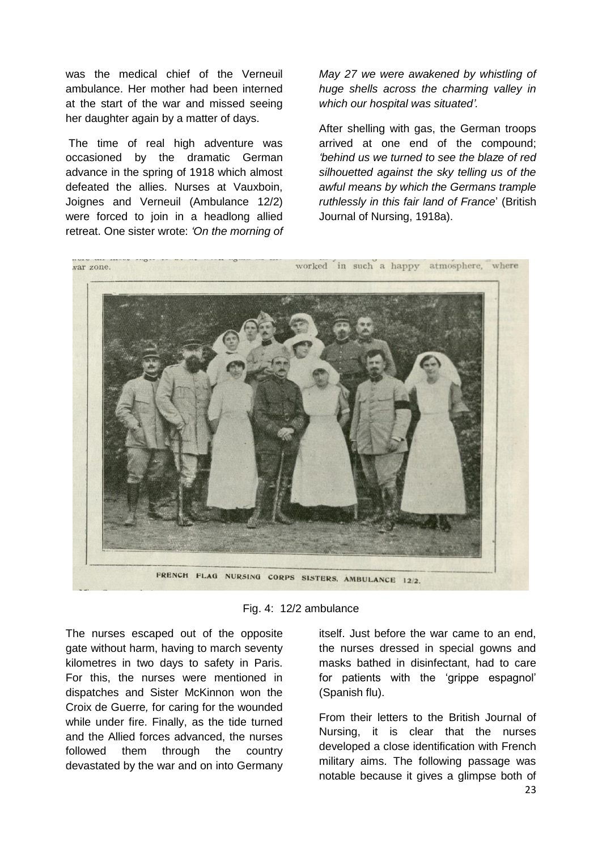was the medical chief of the Verneuil ambulance. Her mother had been interned at the start of the war and missed seeing her daughter again by a matter of days.

The time of real high adventure was occasioned by the dramatic German advance in the spring of 1918 which almost defeated the allies. Nurses at Vauxboin, Joignes and Verneuil (Ambulance 12/2) were forced to join in a headlong allied retreat. One sister wrote: *'On the morning of*  *May 27 we were awakened by whistling of huge shells across the charming valley in which our hospital was situated'.*

After shelling with gas, the German troops arrived at one end of the compound; *'behind us we turned to see the blaze of red silhouetted against the sky telling us of the awful means by which the Germans trample ruthlessly in this fair land of France*' (British Journal of Nursing, 1918a).



Fig. 4: 12/2 ambulance

The nurses escaped out of the opposite gate without harm, having to march seventy kilometres in two days to safety in Paris. For this, the nurses were mentioned in dispatches and Sister McKinnon won the Croix de Guerre*,* for caring for the wounded while under fire. Finally, as the tide turned and the Allied forces advanced, the nurses followed them through the country devastated by the war and on into Germany

itself. Just before the war came to an end, the nurses dressed in special gowns and masks bathed in disinfectant, had to care for patients with the 'grippe espagnol' (Spanish flu).

From their letters to the British Journal of Nursing, it is clear that the nurses developed a close identification with French military aims. The following passage was notable because it gives a glimpse both of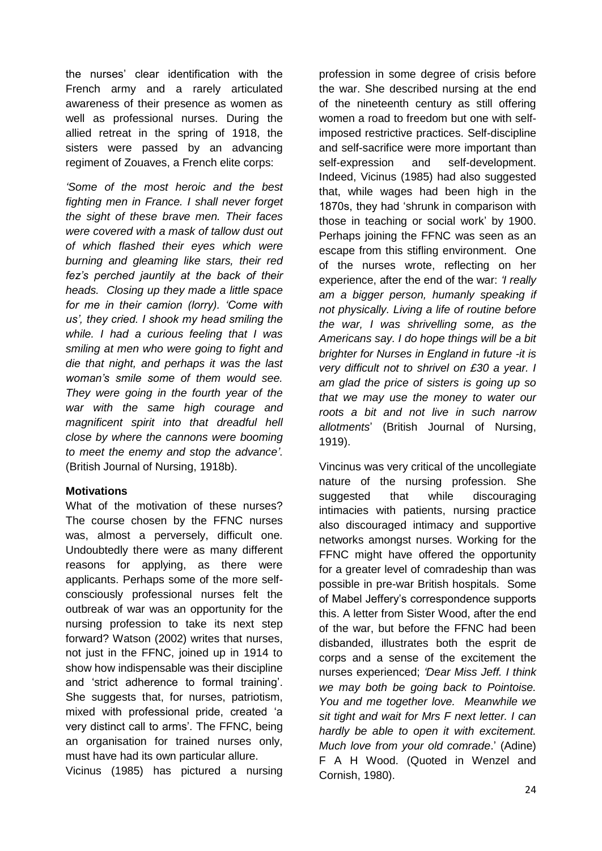the nurses' clear identification with the French army and a rarely articulated awareness of their presence as women as well as professional nurses. During the allied retreat in the spring of 1918, the sisters were passed by an advancing regiment of Zouaves, a French elite corps:

*'Some of the most heroic and the best fighting men in France. I shall never forget the sight of these brave men. Their faces were covered with a mask of tallow dust out of which flashed their eyes which were burning and gleaming like stars, their red fez's perched jauntily at the back of their heads. Closing up they made a little space for me in their camion (lorry). 'Come with us', they cried. I shook my head smiling the while. I had a curious feeling that I was smiling at men who were going to fight and die that night, and perhaps it was the last woman's smile some of them would see. They were going in the fourth year of the war with the same high courage and magnificent spirit into that dreadful hell close by where the cannons were booming to meet the enemy and stop the advance'*. (British Journal of Nursing, 1918b).

#### **Motivations**

What of the motivation of these nurses? The course chosen by the FFNC nurses was, almost a perversely, difficult one. Undoubtedly there were as many different reasons for applying, as there were applicants. Perhaps some of the more selfconsciously professional nurses felt the outbreak of war was an opportunity for the nursing profession to take its next step forward? Watson (2002) writes that nurses, not just in the FFNC, joined up in 1914 to show how indispensable was their discipline and 'strict adherence to formal training'. She suggests that, for nurses, patriotism, mixed with professional pride, created 'a very distinct call to arms'. The FFNC, being an organisation for trained nurses only, must have had its own particular allure.

Vicinus (1985) has pictured a nursing

profession in some degree of crisis before the war. She described nursing at the end of the nineteenth century as still offering women a road to freedom but one with selfimposed restrictive practices. Self-discipline and self-sacrifice were more important than self-expression and self-development. Indeed, Vicinus (1985) had also suggested that, while wages had been high in the 1870s, they had 'shrunk in comparison with those in teaching or social work' by 1900. Perhaps joining the FFNC was seen as an escape from this stifling environment. One of the nurses wrote, reflecting on her experience, after the end of the war: *'I really am a bigger person, humanly speaking if not physically. Living a life of routine before the war, I was shrivelling some, as the Americans say. I do hope things will be a bit brighter for Nurses in England in future -it is very difficult not to shrivel on £30 a year. I am glad the price of sisters is going up so that we may use the money to water our roots a bit and not live in such narrow allotments*' (British Journal of Nursing, 1919).

Vincinus was very critical of the uncollegiate nature of the nursing profession. She suggested that while discouraging intimacies with patients, nursing practice also discouraged intimacy and supportive networks amongst nurses. Working for the FFNC might have offered the opportunity for a greater level of comradeship than was possible in pre-war British hospitals. Some of Mabel Jeffery's correspondence supports this. A letter from Sister Wood, after the end of the war, but before the FFNC had been disbanded, illustrates both the esprit de corps and a sense of the excitement the nurses experienced; *'Dear Miss Jeff. I think we may both be going back to Pointoise. You and me together love. Meanwhile we sit tight and wait for Mrs F next letter. I can hardly be able to open it with excitement. Much love from your old comrade*.' (Adine) F A H Wood. (Quoted in Wenzel and Cornish, 1980).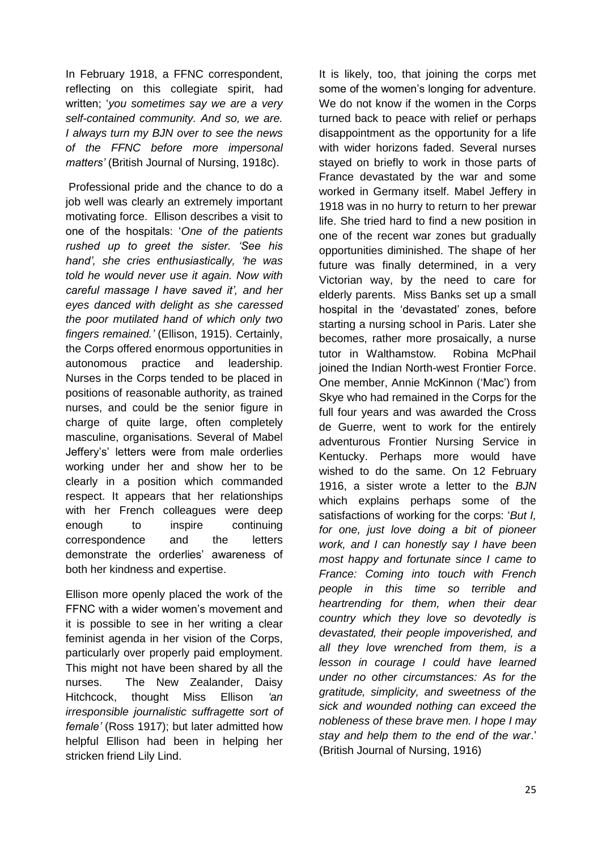In February 1918, a FFNC correspondent, reflecting on this collegiate spirit, had written; '*you sometimes say we are a very self-contained community. And so, we are. I always turn my BJN over to see the news of the FFNC before more impersonal matters'* (British Journal of Nursing, 1918c).

Professional pride and the chance to do a job well was clearly an extremely important motivating force. Ellison describes a visit to one of the hospitals: '*One of the patients rushed up to greet the sister. 'See his hand', she cries enthusiastically, 'he was told he would never use it again. Now with careful massage I have saved it', and her eyes danced with delight as she caressed the poor mutilated hand of which only two fingers remained.'* (Ellison, 1915). Certainly, the Corps offered enormous opportunities in autonomous practice and leadership. Nurses in the Corps tended to be placed in positions of reasonable authority, as trained nurses, and could be the senior figure in charge of quite large, often completely masculine, organisations. Several of Mabel Jeffery's' letters were from male orderlies working under her and show her to be clearly in a position which commanded respect. It appears that her relationships with her French colleagues were deep enough to inspire continuing correspondence and the letters demonstrate the orderlies' awareness of both her kindness and expertise.

Ellison more openly placed the work of the FFNC with a wider women's movement and it is possible to see in her writing a clear feminist agenda in her vision of the Corps, particularly over properly paid employment. This might not have been shared by all the nurses. The New Zealander, Daisy Hitchcock, thought Miss Ellison *'an irresponsible journalistic suffragette sort of female'* (Ross 1917); but later admitted how helpful Ellison had been in helping her stricken friend Lily Lind.

It is likely, too, that joining the corps met some of the women's longing for adventure. We do not know if the women in the Corps turned back to peace with relief or perhaps disappointment as the opportunity for a life with wider horizons faded. Several nurses stayed on briefly to work in those parts of France devastated by the war and some worked in Germany itself. Mabel Jeffery in 1918 was in no hurry to return to her prewar life. She tried hard to find a new position in one of the recent war zones but gradually opportunities diminished. The shape of her future was finally determined, in a very Victorian way, by the need to care for elderly parents. Miss Banks set up a small hospital in the 'devastated' zones, before starting a nursing school in Paris. Later she becomes, rather more prosaically, a nurse tutor in Walthamstow. Robina McPhail joined the Indian North-west Frontier Force. One member, Annie McKinnon ('Mac') from Skye who had remained in the Corps for the full four years and was awarded the Cross de Guerre, went to work for the entirely adventurous Frontier Nursing Service in Kentucky. Perhaps more would have wished to do the same. On 12 February 1916, a sister wrote a letter to the *BJN* which explains perhaps some of the satisfactions of working for the corps: '*But I, for one, just love doing a bit of pioneer work, and I can honestly say I have been most happy and fortunate since I came to France: Coming into touch with French people in this time so terrible and heartrending for them, when their dear country which they love so devotedly is devastated, their people impoverished, and all they love wrenched from them, is a lesson in courage I could have learned under no other circumstances: As for the gratitude, simplicity, and sweetness of the sick and wounded nothing can exceed the nobleness of these brave men. I hope I may stay and help them to the end of the war*.' (British Journal of Nursing, 1916)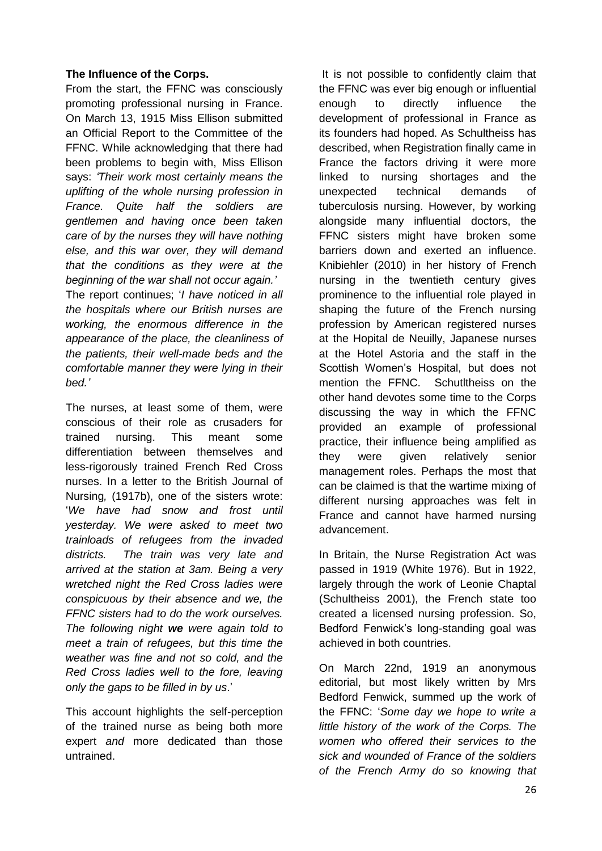#### **The Influence of the Corps.**

From the start, the FFNC was consciously promoting professional nursing in France. On March 13, 1915 Miss Ellison submitted an Official Report to the Committee of the FFNC. While acknowledging that there had been problems to begin with, Miss Ellison says: *'Their work most certainly means the uplifting of the whole nursing profession in France. Quite half the soldiers are gentlemen and having once been taken care of by the nurses they will have nothing else, and this war over, they will demand that the conditions as they were at the beginning of the war shall not occur again.'*  The report continues; '*I have noticed in all the hospitals where our British nurses are working, the enormous difference in the appearance of the place, the cleanliness of the patients, their well-made beds and the comfortable manner they were lying in their bed.'*

The nurses, at least some of them, were conscious of their role as crusaders for trained nursing. This meant some differentiation between themselves and less-rigorously trained French Red Cross nurses. In a letter to the British Journal of Nursing*,* (1917b), one of the sisters wrote: '*We have had snow and frost until yesterday. We were asked to meet two trainloads of refugees from the invaded districts. The train was very late and arrived at the station at 3am. Being a very wretched night the Red Cross ladies were conspicuous by their absence and we, the FFNC sisters had to do the work ourselves. The following night we were again told to meet a train of refugees, but this time the weather was fine and not so cold, and the Red Cross ladies well to the fore, leaving only the gaps to be filled in by us*.'

This account highlights the self-perception of the trained nurse as being both more expert *and* more dedicated than those untrained.

 It is not possible to confidently claim that the FFNC was ever big enough or influential enough to directly influence the development of professional in France as its founders had hoped. As Schultheiss has described, when Registration finally came in France the factors driving it were more linked to nursing shortages and the unexpected technical demands of tuberculosis nursing. However, by working alongside many influential doctors, the FFNC sisters might have broken some barriers down and exerted an influence. Knibiehler (2010) in her history of French nursing in the twentieth century gives prominence to the influential role played in shaping the future of the French nursing profession by American registered nurses at the Hopital de Neuilly, Japanese nurses at the Hotel Astoria and the staff in the Scottish Women's Hospital, but does not mention the FFNC. Schutltheiss on the other hand devotes some time to the Corps discussing the way in which the FFNC provided an example of professional practice, their influence being amplified as they were given relatively senior management roles. Perhaps the most that can be claimed is that the wartime mixing of different nursing approaches was felt in France and cannot have harmed nursing advancement.

In Britain, the Nurse Registration Act was passed in 1919 (White 1976). But in 1922, largely through the work of Leonie Chaptal (Schultheiss 2001), the French state too created a licensed nursing profession. So, Bedford Fenwick's long-standing goal was achieved in both countries.

On March 22nd, 1919 an anonymous editorial, but most likely written by Mrs Bedford Fenwick, summed up the work of the FFNC: '*Some day we hope to write a little history of the work of the Corps. The women who offered their services to the sick and wounded of France of the soldiers of the French Army do so knowing that*